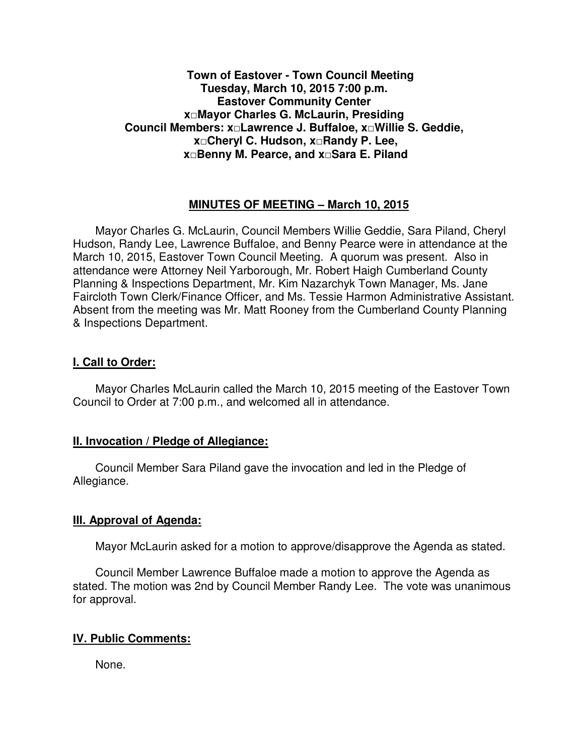## **Town of Eastover - Town Council Meeting Tuesday, March 10, 2015 7:00 p.m. Eastover Community Center x□Mayor Charles G. McLaurin, Presiding Council Members: x□Lawrence J. Buffaloe, x□Willie S. Geddie, x□Cheryl C. Hudson, x□Randy P. Lee, x□Benny M. Pearce, and x□Sara E. Piland**

## **MINUTES OF MEETING – March 10, 2015**

Mayor Charles G. McLaurin, Council Members Willie Geddie, Sara Piland, Cheryl Hudson, Randy Lee, Lawrence Buffaloe, and Benny Pearce were in attendance at the March 10, 2015, Eastover Town Council Meeting. A quorum was present. Also in attendance were Attorney Neil Yarborough, Mr. Robert Haigh Cumberland County Planning & Inspections Department, Mr. Kim Nazarchyk Town Manager, Ms. Jane Faircloth Town Clerk/Finance Officer, and Ms. Tessie Harmon Administrative Assistant. Absent from the meeting was Mr. Matt Rooney from the Cumberland County Planning & Inspections Department.

#### **I. Call to Order:**

Mayor Charles McLaurin called the March 10, 2015 meeting of the Eastover Town Council to Order at 7:00 p.m., and welcomed all in attendance.

#### **II. Invocation / Pledge of Allegiance:**

 Council Member Sara Piland gave the invocation and led in the Pledge of Allegiance.

#### **III. Approval of Agenda:**

Mayor McLaurin asked for a motion to approve/disapprove the Agenda as stated.

 Council Member Lawrence Buffaloe made a motion to approve the Agenda as stated. The motion was 2nd by Council Member Randy Lee. The vote was unanimous for approval.

# **IV. Public Comments:**

None.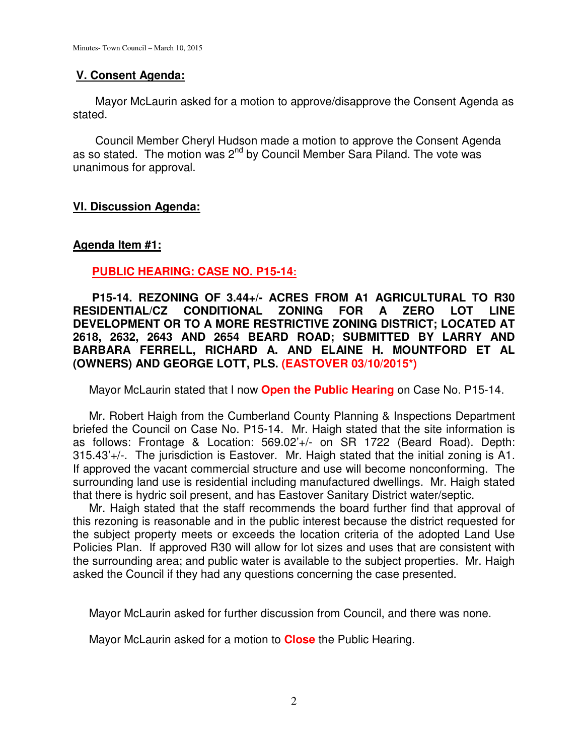## **V. Consent Agenda:**

 Mayor McLaurin asked for a motion to approve/disapprove the Consent Agenda as stated.

 Council Member Cheryl Hudson made a motion to approve the Consent Agenda as so stated. The motion was  $2^{nd}$  by Council Member Sara Piland. The vote was unanimous for approval.

## **VI. Discussion Agenda:**

#### **Agenda Item #1:**

# **PUBLIC HEARING: CASE NO. P15-14:**

 **P15-14. REZONING OF 3.44+/- ACRES FROM A1 AGRICULTURAL TO R30 RESIDENTIAL/CZ CONDITIONAL ZONING FOR A ZERO LOT LINE DEVELOPMENT OR TO A MORE RESTRICTIVE ZONING DISTRICT; LOCATED AT 2618, 2632, 2643 AND 2654 BEARD ROAD; SUBMITTED BY LARRY AND BARBARA FERRELL, RICHARD A. AND ELAINE H. MOUNTFORD ET AL (OWNERS) AND GEORGE LOTT, PLS. (EASTOVER 03/10/2015\*)** 

Mayor McLaurin stated that I now **Open the Public Hearing** on Case No. P15-14.

 Mr. Robert Haigh from the Cumberland County Planning & Inspections Department briefed the Council on Case No. P15-14. Mr. Haigh stated that the site information is as follows: Frontage & Location: 569.02'+/- on SR 1722 (Beard Road). Depth: 315.43'+/-. The jurisdiction is Eastover. Mr. Haigh stated that the initial zoning is A1. If approved the vacant commercial structure and use will become nonconforming. The surrounding land use is residential including manufactured dwellings. Mr. Haigh stated that there is hydric soil present, and has Eastover Sanitary District water/septic.

 Mr. Haigh stated that the staff recommends the board further find that approval of this rezoning is reasonable and in the public interest because the district requested for the subject property meets or exceeds the location criteria of the adopted Land Use Policies Plan. If approved R30 will allow for lot sizes and uses that are consistent with the surrounding area; and public water is available to the subject properties. Mr. Haigh asked the Council if they had any questions concerning the case presented.

Mayor McLaurin asked for further discussion from Council, and there was none.

Mayor McLaurin asked for a motion to **Close** the Public Hearing.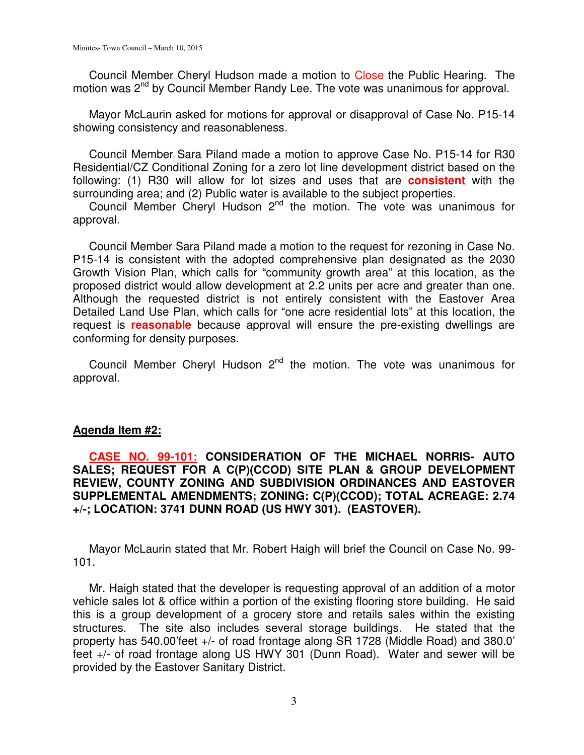Council Member Cheryl Hudson made a motion to Close the Public Hearing. The motion was 2<sup>nd</sup> by Council Member Randy Lee. The vote was unanimous for approval.

 Mayor McLaurin asked for motions for approval or disapproval of Case No. P15-14 showing consistency and reasonableness.

 Council Member Sara Piland made a motion to approve Case No. P15-14 for R30 Residential/CZ Conditional Zoning for a zero lot line development district based on the following: (1) R30 will allow for lot sizes and uses that are **consistent** with the surrounding area; and (2) Public water is available to the subject properties.

Council Member Cheryl Hudson  $2^{nd}$  the motion. The vote was unanimous for approval.

 Council Member Sara Piland made a motion to the request for rezoning in Case No. P15-14 is consistent with the adopted comprehensive plan designated as the 2030 Growth Vision Plan, which calls for "community growth area" at this location, as the proposed district would allow development at 2.2 units per acre and greater than one. Although the requested district is not entirely consistent with the Eastover Area Detailed Land Use Plan, which calls for "one acre residential lots" at this location, the request is **reasonable** because approval will ensure the pre-existing dwellings are conforming for density purposes.

Council Member Cheryl Hudson  $2^{nd}$  the motion. The vote was unanimous for approval.

#### **Agenda Item #2:**

# **CASE NO. 99-101: CONSIDERATION OF THE MICHAEL NORRIS- AUTO SALES; REQUEST FOR A C(P)(CCOD) SITE PLAN & GROUP DEVELOPMENT REVIEW, COUNTY ZONING AND SUBDIVISION ORDINANCES AND EASTOVER SUPPLEMENTAL AMENDMENTS; ZONING: C(P)(CCOD); TOTAL ACREAGE: 2.74 +/-; LOCATION: 3741 DUNN ROAD (US HWY 301). (EASTOVER).**

 Mayor McLaurin stated that Mr. Robert Haigh will brief the Council on Case No. 99- 101.

 Mr. Haigh stated that the developer is requesting approval of an addition of a motor vehicle sales lot & office within a portion of the existing flooring store building. He said this is a group development of a grocery store and retails sales within the existing structures. The site also includes several storage buildings. He stated that the property has 540.00'feet +/- of road frontage along SR 1728 (Middle Road) and 380.0' feet +/- of road frontage along US HWY 301 (Dunn Road). Water and sewer will be provided by the Eastover Sanitary District.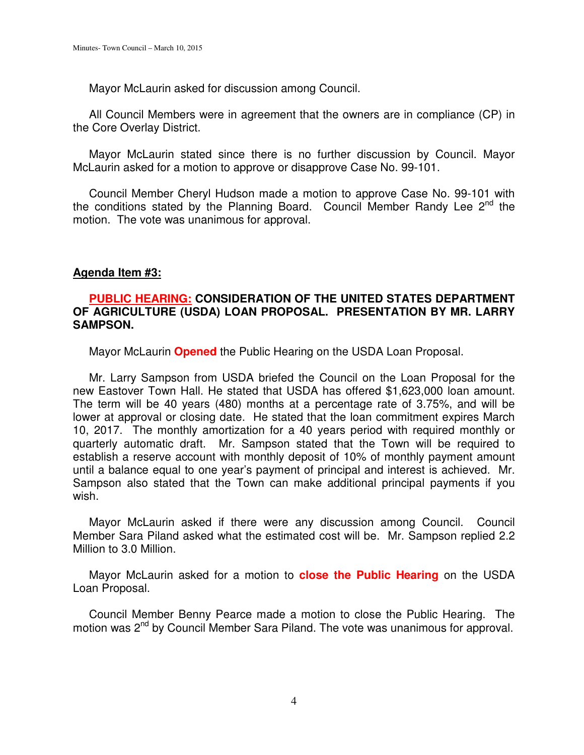Mayor McLaurin asked for discussion among Council.

 All Council Members were in agreement that the owners are in compliance (CP) in the Core Overlay District.

 Mayor McLaurin stated since there is no further discussion by Council. Mayor McLaurin asked for a motion to approve or disapprove Case No. 99-101.

 Council Member Cheryl Hudson made a motion to approve Case No. 99-101 with the conditions stated by the Planning Board. Council Member Randy Lee  $2^{nd}$  the motion. The vote was unanimous for approval.

## **Agenda Item #3:**

## **PUBLIC HEARING: CONSIDERATION OF THE UNITED STATES DEPARTMENT OF AGRICULTURE (USDA) LOAN PROPOSAL. PRESENTATION BY MR. LARRY SAMPSON.**

Mayor McLaurin **Opened** the Public Hearing on the USDA Loan Proposal.

 Mr. Larry Sampson from USDA briefed the Council on the Loan Proposal for the new Eastover Town Hall. He stated that USDA has offered \$1,623,000 loan amount. The term will be 40 years (480) months at a percentage rate of 3.75%, and will be lower at approval or closing date. He stated that the loan commitment expires March 10, 2017. The monthly amortization for a 40 years period with required monthly or quarterly automatic draft. Mr. Sampson stated that the Town will be required to establish a reserve account with monthly deposit of 10% of monthly payment amount until a balance equal to one year's payment of principal and interest is achieved. Mr. Sampson also stated that the Town can make additional principal payments if you wish.

 Mayor McLaurin asked if there were any discussion among Council. Council Member Sara Piland asked what the estimated cost will be. Mr. Sampson replied 2.2 Million to 3.0 Million.

 Mayor McLaurin asked for a motion to **close the Public Hearing** on the USDA Loan Proposal.

 Council Member Benny Pearce made a motion to close the Public Hearing. The motion was 2<sup>nd</sup> by Council Member Sara Piland. The vote was unanimous for approval.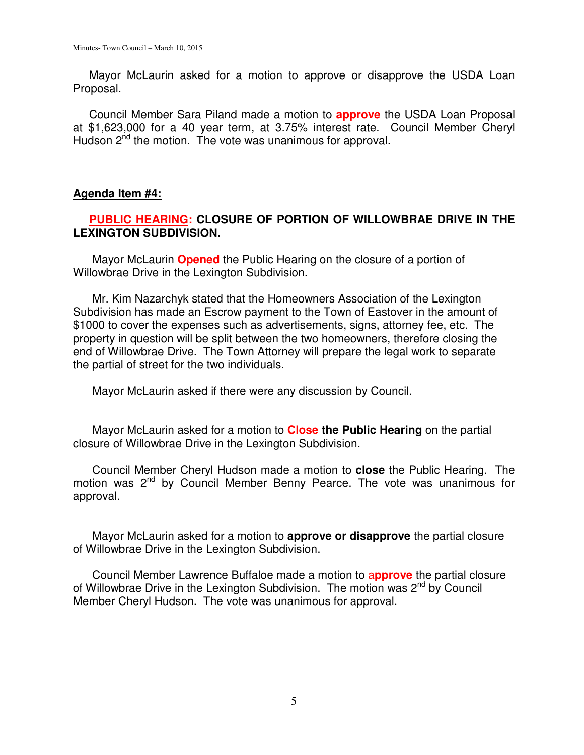Mayor McLaurin asked for a motion to approve or disapprove the USDA Loan Proposal.

 Council Member Sara Piland made a motion to **approve** the USDA Loan Proposal at \$1,623,000 for a 40 year term, at 3.75% interest rate. Council Member Cheryl Hudson 2<sup>nd</sup> the motion. The vote was unanimous for approval.

# **Agenda Item #4:**

# **PUBLIC HEARING: CLOSURE OF PORTION OF WILLOWBRAE DRIVE IN THE LEXINGTON SUBDIVISION.**

 Mayor McLaurin **Opened** the Public Hearing on the closure of a portion of Willowbrae Drive in the Lexington Subdivision.

 Mr. Kim Nazarchyk stated that the Homeowners Association of the Lexington Subdivision has made an Escrow payment to the Town of Eastover in the amount of \$1000 to cover the expenses such as advertisements, signs, attorney fee, etc. The property in question will be split between the two homeowners, therefore closing the end of Willowbrae Drive. The Town Attorney will prepare the legal work to separate the partial of street for the two individuals.

Mayor McLaurin asked if there were any discussion by Council.

 Mayor McLaurin asked for a motion to **Close the Public Hearing** on the partial closure of Willowbrae Drive in the Lexington Subdivision.

 Council Member Cheryl Hudson made a motion to **close** the Public Hearing. The motion was 2<sup>nd</sup> by Council Member Benny Pearce. The vote was unanimous for approval.

Mayor McLaurin asked for a motion to **approve or disapprove** the partial closure of Willowbrae Drive in the Lexington Subdivision.

 Council Member Lawrence Buffaloe made a motion to a**pprove** the partial closure of Willowbrae Drive in the Lexington Subdivision. The motion was 2<sup>nd</sup> by Council Member Cheryl Hudson. The vote was unanimous for approval.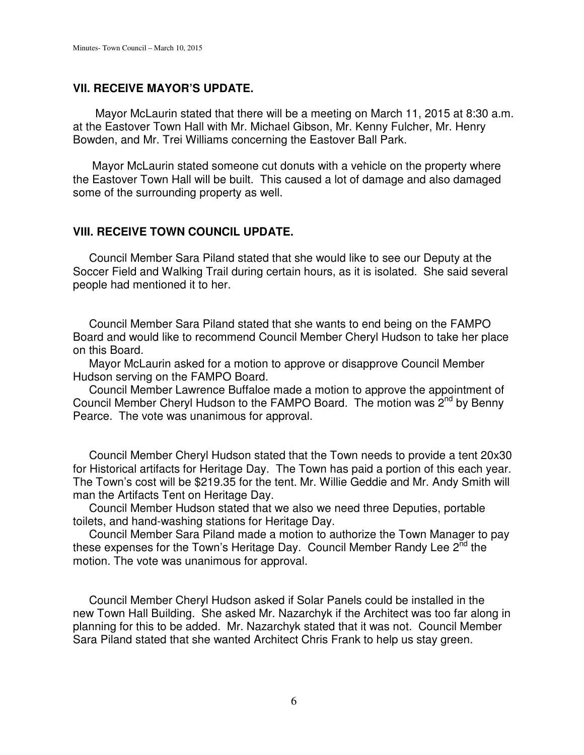#### **VII. RECEIVE MAYOR'S UPDATE.**

 Mayor McLaurin stated that there will be a meeting on March 11, 2015 at 8:30 a.m. at the Eastover Town Hall with Mr. Michael Gibson, Mr. Kenny Fulcher, Mr. Henry Bowden, and Mr. Trei Williams concerning the Eastover Ball Park.

 Mayor McLaurin stated someone cut donuts with a vehicle on the property where the Eastover Town Hall will be built. This caused a lot of damage and also damaged some of the surrounding property as well.

#### **VIII. RECEIVE TOWN COUNCIL UPDATE.**

 Council Member Sara Piland stated that she would like to see our Deputy at the Soccer Field and Walking Trail during certain hours, as it is isolated. She said several people had mentioned it to her.

 Council Member Sara Piland stated that she wants to end being on the FAMPO Board and would like to recommend Council Member Cheryl Hudson to take her place on this Board.

 Mayor McLaurin asked for a motion to approve or disapprove Council Member Hudson serving on the FAMPO Board.

 Council Member Lawrence Buffaloe made a motion to approve the appointment of Council Member Cheryl Hudson to the FAMPO Board. The motion was  $2^{nd}$  by Benny Pearce. The vote was unanimous for approval.

 Council Member Cheryl Hudson stated that the Town needs to provide a tent 20x30 for Historical artifacts for Heritage Day. The Town has paid a portion of this each year. The Town's cost will be \$219.35 for the tent. Mr. Willie Geddie and Mr. Andy Smith will man the Artifacts Tent on Heritage Day.

 Council Member Hudson stated that we also we need three Deputies, portable toilets, and hand-washing stations for Heritage Day.

 Council Member Sara Piland made a motion to authorize the Town Manager to pay these expenses for the Town's Heritage Day. Council Member Randy Lee 2<sup>nd</sup> the motion. The vote was unanimous for approval.

 Council Member Cheryl Hudson asked if Solar Panels could be installed in the new Town Hall Building. She asked Mr. Nazarchyk if the Architect was too far along in planning for this to be added. Mr. Nazarchyk stated that it was not. Council Member Sara Piland stated that she wanted Architect Chris Frank to help us stay green.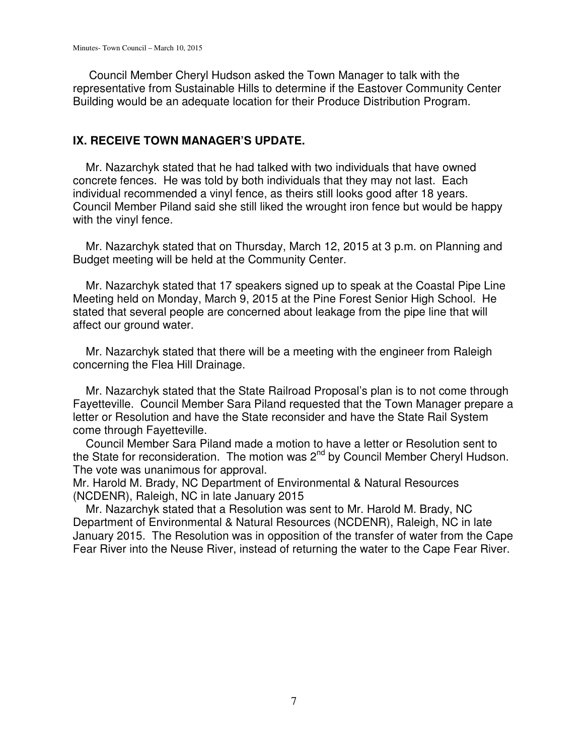Council Member Cheryl Hudson asked the Town Manager to talk with the representative from Sustainable Hills to determine if the Eastover Community Center Building would be an adequate location for their Produce Distribution Program.

## **IX. RECEIVE TOWN MANAGER'S UPDATE.**

 Mr. Nazarchyk stated that he had talked with two individuals that have owned concrete fences. He was told by both individuals that they may not last. Each individual recommended a vinyl fence, as theirs still looks good after 18 years. Council Member Piland said she still liked the wrought iron fence but would be happy with the vinyl fence.

 Mr. Nazarchyk stated that on Thursday, March 12, 2015 at 3 p.m. on Planning and Budget meeting will be held at the Community Center.

 Mr. Nazarchyk stated that 17 speakers signed up to speak at the Coastal Pipe Line Meeting held on Monday, March 9, 2015 at the Pine Forest Senior High School. He stated that several people are concerned about leakage from the pipe line that will affect our ground water.

 Mr. Nazarchyk stated that there will be a meeting with the engineer from Raleigh concerning the Flea Hill Drainage.

 Mr. Nazarchyk stated that the State Railroad Proposal's plan is to not come through Fayetteville. Council Member Sara Piland requested that the Town Manager prepare a letter or Resolution and have the State reconsider and have the State Rail System come through Fayetteville.

 Council Member Sara Piland made a motion to have a letter or Resolution sent to the State for reconsideration. The motion was 2<sup>nd</sup> by Council Member Cheryl Hudson. The vote was unanimous for approval.

Mr. Harold M. Brady, NC Department of Environmental & Natural Resources (NCDENR), Raleigh, NC in late January 2015

 Mr. Nazarchyk stated that a Resolution was sent to Mr. Harold M. Brady, NC Department of Environmental & Natural Resources (NCDENR), Raleigh, NC in late January 2015. The Resolution was in opposition of the transfer of water from the Cape Fear River into the Neuse River, instead of returning the water to the Cape Fear River.